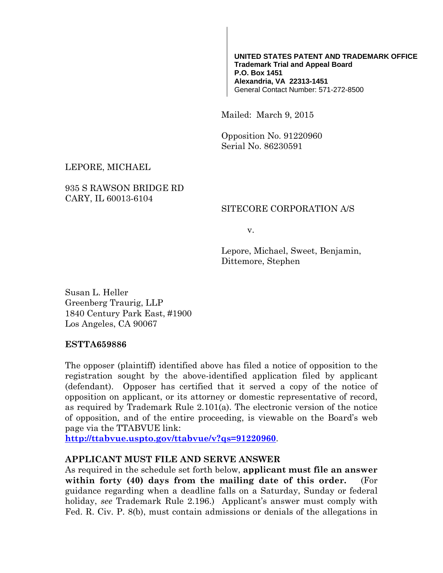#### **UNITED STATES PATENT AND TRADEMARK OFFICE Trademark Trial and Appeal Board P.O. Box 1451 Alexandria, VA 22313-1451** General Contact Number: 571-272-8500

Mailed: March 9, 2015

Opposition No. 91220960 Serial No. 86230591

### LEPORE, MICHAEL

### 935 S RAWSON BRIDGE RD CARY, IL 60013-6104

#### SITECORE CORPORATION A/S

v.

Lepore, Michael, Sweet, Benjamin, Dittemore, Stephen

Susan L. Heller Greenberg Traurig, LLP 1840 Century Park East, #1900 Los Angeles, CA 90067

#### **ESTTA659886**

The opposer (plaintiff) identified above has filed a notice of opposition to the registration sought by the above-identified application filed by applicant (defendant). Opposer has certified that it served a copy of the notice of opposition on applicant, or its attorney or domestic representative of record, as required by Trademark Rule 2.101(a). The electronic version of the notice of opposition, and of the entire proceeding, is viewable on the Board's web page via the TTABVUE link:

**http://ttabvue.uspto.gov/ttabvue/v?qs=91220960**.

#### **APPLICANT MUST FILE AND SERVE ANSWER**

As required in the schedule set forth below, **applicant must file an answer within forty (40) days from the mailing date of this order.** (For guidance regarding when a deadline falls on a Saturday, Sunday or federal holiday, *see* Trademark Rule 2.196.) Applicant's answer must comply with Fed. R. Civ. P. 8(b), must contain admissions or denials of the allegations in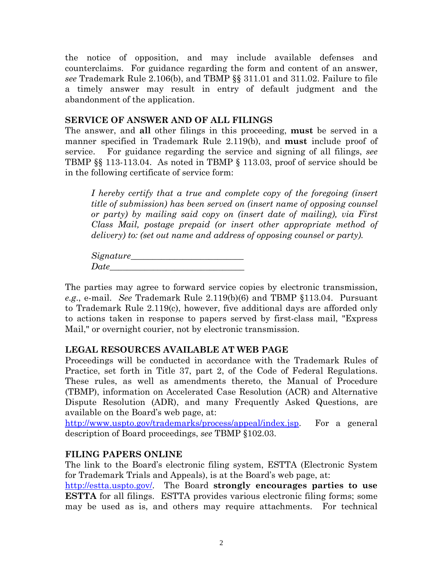the notice of opposition, and may include available defenses and counterclaims. For guidance regarding the form and content of an answer, *see* Trademark Rule 2.106(b), and TBMP §§ 311.01 and 311.02. Failure to file a timely answer may result in entry of default judgment and the abandonment of the application.

### **SERVICE OF ANSWER AND OF ALL FILINGS**

The answer, and **all** other filings in this proceeding, **must** be served in a manner specified in Trademark Rule 2.119(b), and **must** include proof of service. For guidance regarding the service and signing of all filings, *see* TBMP §§ 113-113.04. As noted in TBMP § 113.03, proof of service should be in the following certificate of service form:

*I hereby certify that a true and complete copy of the foregoing (insert title of submission) has been served on (insert name of opposing counsel or party) by mailing said copy on (insert date of mailing), via First Class Mail, postage prepaid (or insert other appropriate method of delivery) to: (set out name and address of opposing counsel or party).* 

 $S$ *ignature*  $Date\_$ 

The parties may agree to forward service copies by electronic transmission, *e.g*., e-mail. *See* Trademark Rule 2.119(b)(6) and TBMP §113.04. Pursuant to Trademark Rule 2.119(c), however, five additional days are afforded only to actions taken in response to papers served by first-class mail, "Express Mail," or overnight courier, not by electronic transmission.

# **LEGAL RESOURCES AVAILABLE AT WEB PAGE**

Proceedings will be conducted in accordance with the Trademark Rules of Practice, set forth in Title 37, part 2, of the Code of Federal Regulations. These rules, as well as amendments thereto, the Manual of Procedure (TBMP), information on Accelerated Case Resolution (ACR) and Alternative Dispute Resolution (ADR), and many Frequently Asked Questions, are available on the Board's web page, at:

http://www.uspto.gov/trademarks/process/appeal/index.jsp. For a general description of Board proceedings, *see* TBMP §102.03.

# **FILING PAPERS ONLINE**

The link to the Board's electronic filing system, ESTTA (Electronic System for Trademark Trials and Appeals), is at the Board's web page, at:

http://estta.uspto.gov/. The Board **strongly encourages parties to use ESTTA** for all filings. ESTTA provides various electronic filing forms; some may be used as is, and others may require attachments. For technical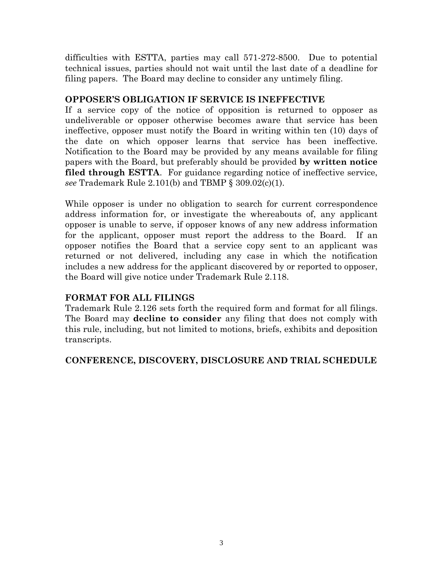difficulties with ESTTA, parties may call 571-272-8500. Due to potential technical issues, parties should not wait until the last date of a deadline for filing papers. The Board may decline to consider any untimely filing.

#### **OPPOSER'S OBLIGATION IF SERVICE IS INEFFECTIVE**

If a service copy of the notice of opposition is returned to opposer as undeliverable or opposer otherwise becomes aware that service has been ineffective, opposer must notify the Board in writing within ten (10) days of the date on which opposer learns that service has been ineffective. Notification to the Board may be provided by any means available for filing papers with the Board, but preferably should be provided **by written notice filed through ESTTA**. For guidance regarding notice of ineffective service, *see* Trademark Rule 2.101(b) and TBMP § 309.02(c)(1).

While opposer is under no obligation to search for current correspondence address information for, or investigate the whereabouts of, any applicant opposer is unable to serve, if opposer knows of any new address information for the applicant, opposer must report the address to the Board. If an opposer notifies the Board that a service copy sent to an applicant was returned or not delivered, including any case in which the notification includes a new address for the applicant discovered by or reported to opposer, the Board will give notice under Trademark Rule 2.118.

# **FORMAT FOR ALL FILINGS**

Trademark Rule 2.126 sets forth the required form and format for all filings. The Board may **decline to consider** any filing that does not comply with this rule, including, but not limited to motions, briefs, exhibits and deposition transcripts.

# **CONFERENCE, DISCOVERY, DISCLOSURE AND TRIAL SCHEDULE**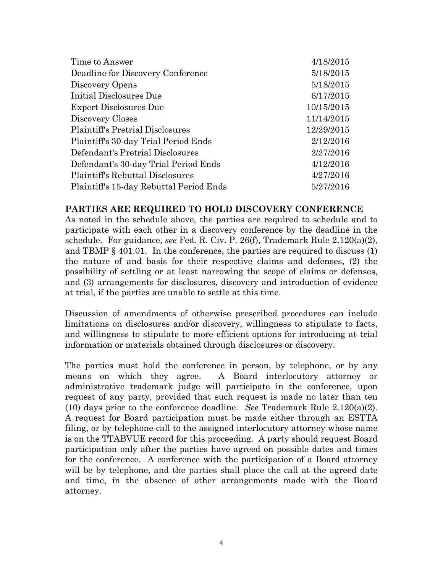| 4/18/2015  |
|------------|
| 5/18/2015  |
| 5/18/2015  |
| 6/17/2015  |
| 10/15/2015 |
| 11/14/2015 |
| 12/29/2015 |
| 2/12/2016  |
| 2/27/2016  |
| 4/12/2016  |
| 4/27/2016  |
| 5/27/2016  |
|            |

#### **PARTIES ARE REQUIRED TO HOLD DISCOVERY CONFERENCE**

As noted in the schedule above, the parties are required to schedule and to participate with each other in a discovery conference by the deadline in the schedule. For guidance, *see* Fed. R. Civ. P. 26(f), Trademark Rule 2.120(a)(2), and TBMP § 401.01. In the conference, the parties are required to discuss (1) the nature of and basis for their respective claims and defenses, (2) the possibility of settling or at least narrowing the scope of claims or defenses, and (3) arrangements for disclosures, discovery and introduction of evidence at trial, if the parties are unable to settle at this time.

Discussion of amendments of otherwise prescribed procedures can include limitations on disclosures and/or discovery, willingness to stipulate to facts, and willingness to stipulate to more efficient options for introducing at trial information or materials obtained through disclosures or discovery.

The parties must hold the conference in person, by telephone, or by any means on which they agree. A Board interlocutory attorney or administrative trademark judge will participate in the conference, upon request of any party, provided that such request is made no later than ten (10) days prior to the conference deadline. *See* Trademark Rule 2.120(a)(2). A request for Board participation must be made either through an ESTTA filing, or by telephone call to the assigned interlocutory attorney whose name is on the TTABVUE record for this proceeding. A party should request Board participation only after the parties have agreed on possible dates and times for the conference. A conference with the participation of a Board attorney will be by telephone, and the parties shall place the call at the agreed date and time, in the absence of other arrangements made with the Board attorney.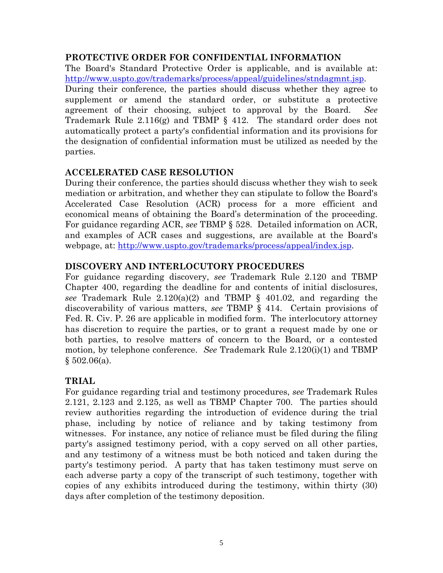#### **PROTECTIVE ORDER FOR CONFIDENTIAL INFORMATION**

The Board's Standard Protective Order is applicable, and is available at: http://www.uspto.gov/trademarks/process/appeal/guidelines/stndagmnt.jsp.

During their conference, the parties should discuss whether they agree to supplement or amend the standard order, or substitute a protective agreement of their choosing, subject to approval by the Board. *See* Trademark Rule 2.116(g) and TBMP § 412. The standard order does not automatically protect a party's confidential information and its provisions for the designation of confidential information must be utilized as needed by the parties.

# **ACCELERATED CASE RESOLUTION**

During their conference, the parties should discuss whether they wish to seek mediation or arbitration, and whether they can stipulate to follow the Board's Accelerated Case Resolution (ACR) process for a more efficient and economical means of obtaining the Board's determination of the proceeding. For guidance regarding ACR, *see* TBMP § 528. Detailed information on ACR, and examples of ACR cases and suggestions, are available at the Board's webpage, at: http://www.uspto.gov/trademarks/process/appeal/index.jsp.

# **DISCOVERY AND INTERLOCUTORY PROCEDURES**

For guidance regarding discovery, *see* Trademark Rule 2.120 and TBMP Chapter 400, regarding the deadline for and contents of initial disclosures, *see* Trademark Rule 2.120(a)(2) and TBMP § 401.02, and regarding the discoverability of various matters, *see* TBMP § 414. Certain provisions of Fed. R. Civ. P. 26 are applicable in modified form. The interlocutory attorney has discretion to require the parties, or to grant a request made by one or both parties, to resolve matters of concern to the Board, or a contested motion, by telephone conference. *See* Trademark Rule 2.120(i)(1) and TBMP  $§ 502.06(a).$ 

# **TRIAL**

For guidance regarding trial and testimony procedures, *see* Trademark Rules 2.121, 2.123 and 2.125, as well as TBMP Chapter 700. The parties should review authorities regarding the introduction of evidence during the trial phase, including by notice of reliance and by taking testimony from witnesses. For instance, any notice of reliance must be filed during the filing party's assigned testimony period, with a copy served on all other parties, and any testimony of a witness must be both noticed and taken during the party's testimony period. A party that has taken testimony must serve on each adverse party a copy of the transcript of such testimony, together with copies of any exhibits introduced during the testimony, within thirty (30) days after completion of the testimony deposition.